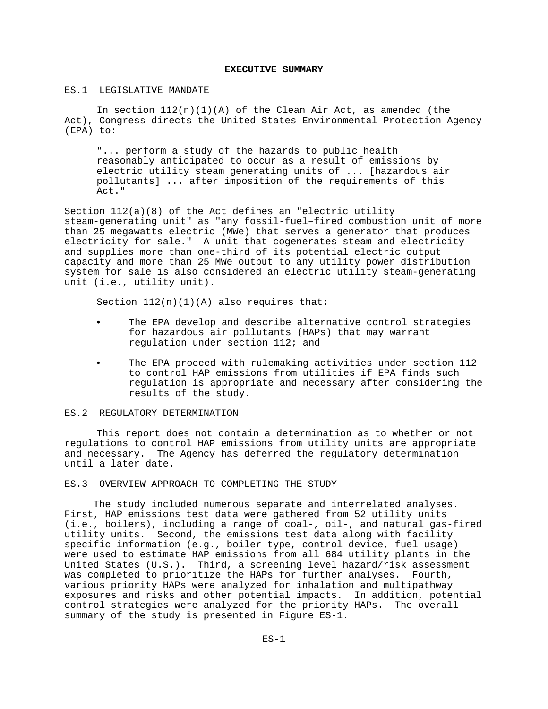## **EXECUTIVE SUMMARY**

## ES.1 LEGISLATIVE MANDATE

In section  $112(n)(1)(A)$  of the Clean Air Act, as amended (the Act), Congress directs the United States Environmental Protection Agency (EPA) to:

"... perform a study of the hazards to public health reasonably anticipated to occur as a result of emissions by electric utility steam generating units of ... [hazardous air pollutants] ... after imposition of the requirements of this Act."

Section 112(a)(8) of the Act defines an "electric utility steam-generating unit" as "any fossil-fuel–fired combustion unit of more than 25 megawatts electric (MWe) that serves a generator that produces electricity for sale." A unit that cogenerates steam and electricity and supplies more than one-third of its potential electric output capacity and more than 25 MWe output to any utility power distribution system for sale is also considered an electric utility steam-generating unit (i.e., utility unit).

Section  $112(n)(1)(A)$  also requires that:

- The EPA develop and describe alternative control strategies for hazardous air pollutants (HAPs) that may warrant regulation under section 112; and
- The EPA proceed with rulemaking activities under section 112 to control HAP emissions from utilities if EPA finds such regulation is appropriate and necessary after considering the results of the study.

#### ES.2 REGULATORY DETERMINATION

This report does not contain a determination as to whether or not regulations to control HAP emissions from utility units are appropriate and necessary. The Agency has deferred the regulatory determination until a later date.

ES.3 OVERVIEW APPROACH TO COMPLETING THE STUDY

 The study included numerous separate and interrelated analyses. First, HAP emissions test data were gathered from 52 utility units (i.e., boilers), including a range of coal-, oil-, and natural gas-fired utility units. Second, the emissions test data along with facility specific information (e.g., boiler type, control device, fuel usage) were used to estimate HAP emissions from all 684 utility plants in the United States (U.S.). Third, a screening level hazard/risk assessment was completed to prioritize the HAPs for further analyses. Fourth, various priority HAPs were analyzed for inhalation and multipathway exposures and risks and other potential impacts. In addition, potential control strategies were analyzed for the priority HAPs. The overall summary of the study is presented in Figure ES-1.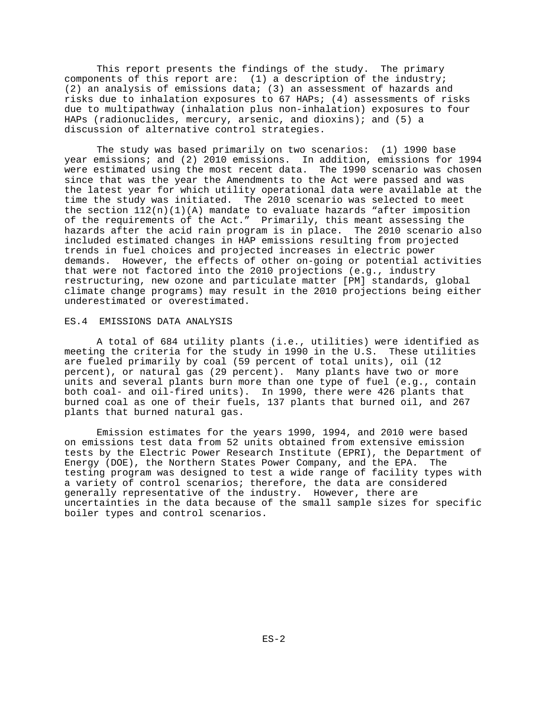This report presents the findings of the study. The primary components of this report are: (1) a description of the industry; (2) an analysis of emissions data; (3) an assessment of hazards and risks due to inhalation exposures to 67 HAPs; (4) assessments of risks due to multipathway (inhalation plus non-inhalation) exposures to four HAPs (radionuclides, mercury, arsenic, and dioxins); and (5) a discussion of alternative control strategies.

The study was based primarily on two scenarios: (1) 1990 base year emissions; and (2) 2010 emissions. In addition, emissions for 1994 were estimated using the most recent data. The 1990 scenario was chosen since that was the year the Amendments to the Act were passed and was the latest year for which utility operational data were available at the time the study was initiated. The 2010 scenario was selected to meet the section  $112(n)(1)(A)$  mandate to evaluate hazards "after imposition of the requirements of the Act." Primarily, this meant assessing the hazards after the acid rain program is in place. The 2010 scenario also included estimated changes in HAP emissions resulting from projected trends in fuel choices and projected increases in electric power demands. However, the effects of other on-going or potential activities that were not factored into the 2010 projections (e.g., industry restructuring, new ozone and particulate matter [PM] standards, global climate change programs) may result in the 2010 projections being either underestimated or overestimated.

#### ES.4 EMISSIONS DATA ANALYSIS

A total of 684 utility plants (i.e., utilities) were identified as meeting the criteria for the study in 1990 in the U.S. These utilities are fueled primarily by coal (59 percent of total units), oil (12 percent), or natural gas (29 percent). Many plants have two or more units and several plants burn more than one type of fuel (e.g., contain both coal- and oil-fired units). In 1990, there were 426 plants that burned coal as one of their fuels, 137 plants that burned oil, and 267 plants that burned natural gas.

Emission estimates for the years 1990, 1994, and 2010 were based on emissions test data from 52 units obtained from extensive emission tests by the Electric Power Research Institute (EPRI), the Department of Energy (DOE), the Northern States Power Company, and the EPA. The testing program was designed to test a wide range of facility types with a variety of control scenarios; therefore, the data are considered generally representative of the industry. However, there are uncertainties in the data because of the small sample sizes for specific boiler types and control scenarios.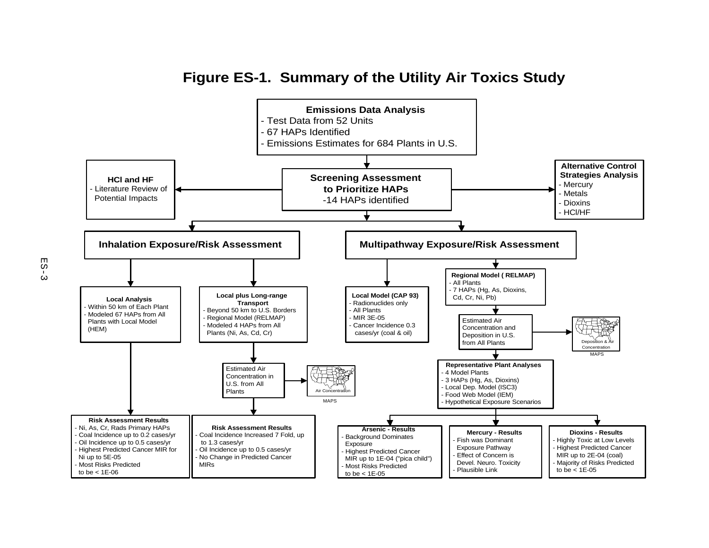

# **Figure ES-1. Summary of the Utility Air Toxics Study**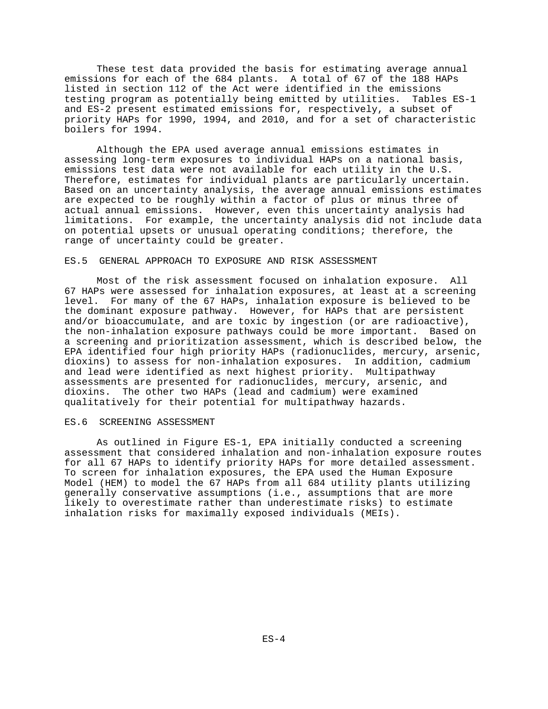These test data provided the basis for estimating average annual emissions for each of the 684 plants. A total of 67 of the 188 HAPs listed in section 112 of the Act were identified in the emissions testing program as potentially being emitted by utilities. Tables ES-1 and ES-2 present estimated emissions for, respectively, a subset of priority HAPs for 1990, 1994, and 2010, and for a set of characteristic boilers for 1994.

Although the EPA used average annual emissions estimates in assessing long-term exposures to individual HAPs on a national basis, emissions test data were not available for each utility in the U.S. Therefore, estimates for individual plants are particularly uncertain. Based on an uncertainty analysis, the average annual emissions estimates are expected to be roughly within a factor of plus or minus three of actual annual emissions. However, even this uncertainty analysis had limitations. For example, the uncertainty analysis did not include data on potential upsets or unusual operating conditions; therefore, the range of uncertainty could be greater.

## ES.5 GENERAL APPROACH TO EXPOSURE AND RISK ASSESSMENT

Most of the risk assessment focused on inhalation exposure. All 67 HAPs were assessed for inhalation exposures, at least at a screening level. For many of the 67 HAPs, inhalation exposure is believed to be the dominant exposure pathway. However, for HAPs that are persistent and/or bioaccumulate, and are toxic by ingestion (or are radioactive), the non-inhalation exposure pathways could be more important. Based on a screening and prioritization assessment, which is described below, the EPA identified four high priority HAPs (radionuclides, mercury, arsenic, dioxins) to assess for non-inhalation exposures. In addition, cadmium and lead were identified as next highest priority. Multipathway assessments are presented for radionuclides, mercury, arsenic, and dioxins. The other two HAPs (lead and cadmium) were examined qualitatively for their potential for multipathway hazards.

#### ES.6 SCREENING ASSESSMENT

As outlined in Figure ES-1, EPA initially conducted a screening assessment that considered inhalation and non-inhalation exposure routes for all 67 HAPs to identify priority HAPs for more detailed assessment. To screen for inhalation exposures, the EPA used the Human Exposure Model (HEM) to model the 67 HAPs from all 684 utility plants utilizing generally conservative assumptions (i.e., assumptions that are more likely to overestimate rather than underestimate risks) to estimate inhalation risks for maximally exposed individuals (MEIs).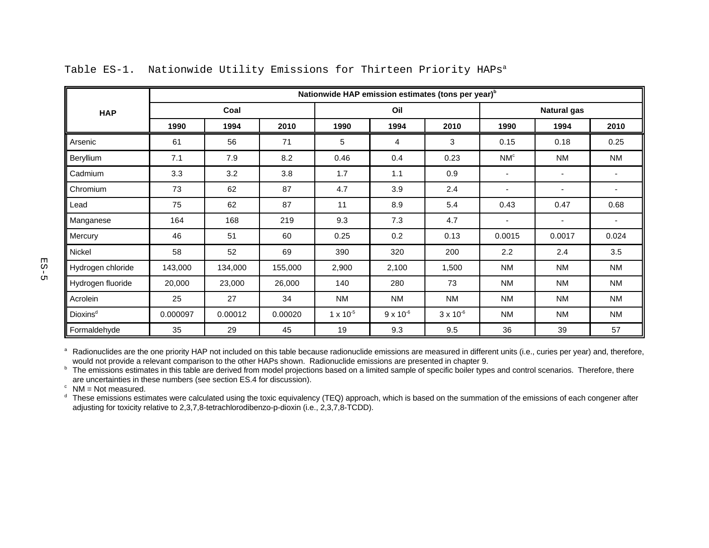|                      | Nationwide HAP emission estimates (tons per year) <sup>b</sup> |         |         |                    |                    |                    |                          |                          |                |  |
|----------------------|----------------------------------------------------------------|---------|---------|--------------------|--------------------|--------------------|--------------------------|--------------------------|----------------|--|
| <b>HAP</b>           |                                                                | Coal    |         | Oil                |                    |                    | <b>Natural gas</b>       |                          |                |  |
|                      | 1990                                                           | 1994    | 2010    | 1990               | 1994               | 2010               | 1990                     | 1994                     | 2010           |  |
| Arsenic              | 61                                                             | 56      | 71      | 5                  | 4                  | 3                  | 0.15                     | 0.18                     | 0.25           |  |
| Beryllium            | 7.1                                                            | 7.9     | 8.2     | 0.46               | 0.4                | 0.23               | NM <sup>c</sup>          | NM                       | ΝM             |  |
| Cadmium              | 3.3                                                            | 3.2     | 3.8     | 1.7                | 1.1                | 0.9                | $\overline{\phantom{a}}$ | $\blacksquare$           |                |  |
| Chromium             | 73                                                             | 62      | 87      | 4.7                | 3.9                | 2.4                | ٠                        | $\overline{\phantom{a}}$ |                |  |
| Lead                 | 75                                                             | 62      | 87      | 11                 | 8.9                | 5.4                | 0.43                     | 0.47                     | 0.68           |  |
| Manganese            | 164                                                            | 168     | 219     | 9.3                | 7.3                | 4.7                | $\overline{\phantom{a}}$ | $\overline{\phantom{a}}$ | $\blacksquare$ |  |
| Mercury              | 46                                                             | 51      | 60      | 0.25               | 0.2                | 0.13               | 0.0015                   | 0.0017                   | 0.024          |  |
| Nickel               | 58                                                             | 52      | 69      | 390                | 320                | 200                | 2.2                      | 2.4                      | 3.5            |  |
| Hydrogen chloride    | 143,000                                                        | 134,000 | 155,000 | 2,900              | 2,100              | 1,500              | <b>NM</b>                | NM                       | <b>NM</b>      |  |
| Hydrogen fluoride    | 20,000                                                         | 23,000  | 26,000  | 140                | 280                | 73                 | <b>NM</b>                | NM                       | <b>NM</b>      |  |
| Acrolein             | 25                                                             | 27      | 34      | NM                 | <b>NM</b>          | <b>NM</b>          | <b>NM</b>                | NM                       | ΝM             |  |
| Dioxins <sup>d</sup> | 0.000097                                                       | 0.00012 | 0.00020 | $1 \times 10^{-5}$ | $9 \times 10^{-6}$ | $3 \times 10^{-6}$ | <b>NM</b>                | <b>NM</b>                | ΝM             |  |
| Formaldehyde         | 35                                                             | 29      | 45      | 19                 | 9.3                | 9.5                | 36                       | 39                       | 57             |  |

## Table ES-1. Nationwide Utility Emissions for Thirteen Priority HAPs<sup>a</sup>

<sup>a</sup> Radionuclides are the one priority HAP not included on this table because radionuclide emissions are measured in different units (i.e., curies per year) and, therefore, would not provide a relevant comparison to the other HAPs shown. Radionuclide emissions are presented in chapter 9.

<sup>b</sup> The emissions estimates in this table are derived from model projections based on a limited sample of specific boiler types and control scenarios. Therefore, there are uncertainties in these numbers (see section ES.4 for discussion).

 $\degree$  NM = Not measured.

<sup>d</sup> These emissions estimates were calculated using the toxic equivalency (TEQ) approach, which is based on the summation of the emissions of each congener after adjusting for toxicity relative to 2,3,7,8-tetrachlorodibenzo-p-dioxin (i.e., 2,3,7,8-TCDD).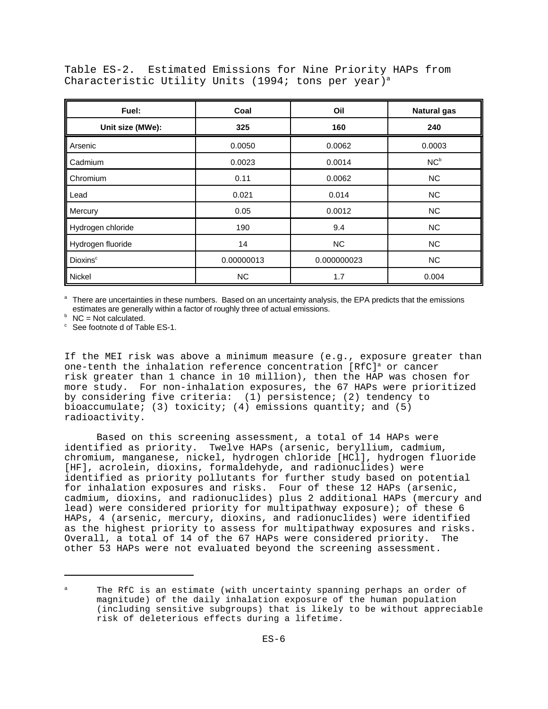Table ES-2. Estimated Emissions for Nine Priority HAPs from Characteristic Utility Units (1994; tons per year)<sup>a</sup>

| Fuel:                       | Coal       | Oil         | <b>Natural gas</b> |
|-----------------------------|------------|-------------|--------------------|
| Unit size (MWe):            | 325        | 160         | 240                |
| Arsenic                     | 0.0050     | 0.0062      | 0.0003             |
| Cadmium                     | 0.0023     | 0.0014      | NC <sup>b</sup>    |
| Chromium                    | 0.11       | 0.0062      | <b>NC</b>          |
| Lead                        | 0.021      | 0.014       | <b>NC</b>          |
| Mercury                     | 0.05       | 0.0012      | <b>NC</b>          |
| Hydrogen chloride           | 190        | 9.4         | <b>NC</b>          |
| Hydrogen fluoride           | 14         | <b>NC</b>   | <b>NC</b>          |
| <b>Dioxins</b> <sup>c</sup> | 0.00000013 | 0.000000023 | <b>NC</b>          |
| Nickel                      | <b>NC</b>  | 1.7         | 0.004              |

a There are uncertainties in these numbers. Based on an uncertainty analysis, the EPA predicts that the emissions estimates are generally within a factor of roughly three of actual emissions.

 $b$  NC = Not calculated.

 $\degree$  See footnote d of Table ES-1.

If the MEI risk was above a minimum measure (e.g., exposure greater than one-tenth the inhalation reference concentration [RfC]<sup>a</sup> or cancer risk greater than 1 chance in 10 million), then the HAP was chosen for more study. For non-inhalation exposures, the 67 HAPs were prioritized by considering five criteria: (1) persistence; (2) tendency to bioaccumulate; (3) toxicity; (4) emissions quantity; and  $(5)$ radioactivity.

Based on this screening assessment, a total of 14 HAPs were identified as priority. Twelve HAPs (arsenic, beryllium, cadmium, chromium, manganese, nickel, hydrogen chloride [HCl], hydrogen fluoride [HF], acrolein, dioxins, formaldehyde, and radionuclides) were identified as priority pollutants for further study based on potential for inhalation exposures and risks. Four of these 12 HAPs (arsenic, cadmium, dioxins, and radionuclides) plus 2 additional HAPs (mercury and lead) were considered priority for multipathway exposure); of these 6 HAPs, 4 (arsenic, mercury, dioxins, and radionuclides) were identified as the highest priority to assess for multipathway exposures and risks. Overall, a total of 14 of the 67 HAPs were considered priority. The other 53 HAPs were not evaluated beyond the screening assessment.

The RfC is an estimate (with uncertainty spanning perhaps an order of magnitude) of the daily inhalation exposure of the human population (including sensitive subgroups) that is likely to be without appreciable risk of deleterious effects during a lifetime.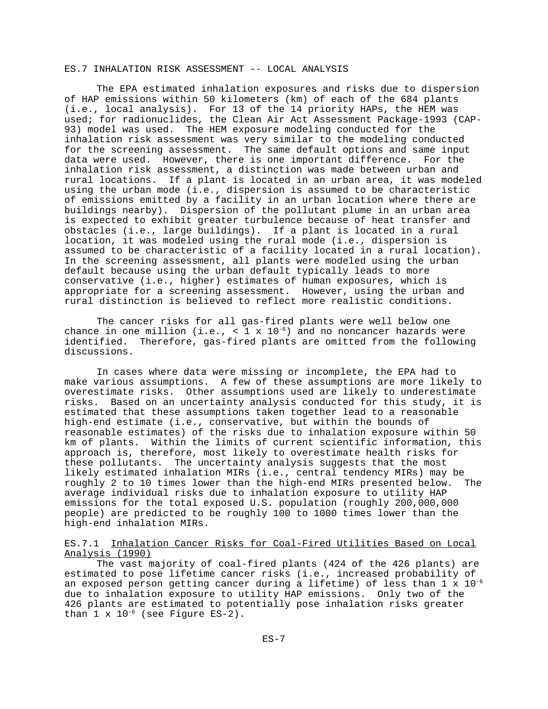## ES.7 INHALATION RISK ASSESSMENT -- LOCAL ANALYSIS

The EPA estimated inhalation exposures and risks due to dispersion of HAP emissions within 50 kilometers (km) of each of the 684 plants (i.e., local analysis). For 13 of the 14 priority HAPs, the HEM was used; for radionuclides, the Clean Air Act Assessment Package-1993 (CAP-93) model was used. The HEM exposure modeling conducted for the inhalation risk assessment was very similar to the modeling conducted for the screening assessment. The same default options and same input data were used. However, there is one important difference. For the inhalation risk assessment, a distinction was made between urban and rural locations. If a plant is located in an urban area, it was modeled using the urban mode (i.e., dispersion is assumed to be characteristic of emissions emitted by a facility in an urban location where there are buildings nearby). Dispersion of the pollutant plume in an urban area is expected to exhibit greater turbulence because of heat transfer and obstacles (i.e., large buildings). If a plant is located in a rural location, it was modeled using the rural mode (i.e., dispersion is assumed to be characteristic of a facility located in a rural location). In the screening assessment, all plants were modeled using the urban default because using the urban default typically leads to more conservative (i.e., higher) estimates of human exposures, which is appropriate for a screening assessment. However, using the urban and rural distinction is believed to reflect more realistic conditions.

The cancer risks for all gas-fired plants were well below one chance in one million (i.e., < 1 x  $10^{-6}$ ) and no noncancer hazards were identified. Therefore, gas-fired plants are omitted from the following discussions.

In cases where data were missing or incomplete, the EPA had to make various assumptions. A few of these assumptions are more likely to overestimate risks. Other assumptions used are likely to underestimate risks. Based on an uncertainty analysis conducted for this study, it is estimated that these assumptions taken together lead to a reasonable high-end estimate (i.e., conservative, but within the bounds of reasonable estimates) of the risks due to inhalation exposure within 50 km of plants. Within the limits of current scientific information, this approach is, therefore, most likely to overestimate health risks for these pollutants. The uncertainty analysis suggests that the most likely estimated inhalation MIRs (i.e., central tendency MIRs) may be roughly 2 to 10 times lower than the high-end MIRs presented below. The average individual risks due to inhalation exposure to utility HAP emissions for the total exposed U.S. population (roughly 200,000,000 people) are predicted to be roughly 100 to 1000 times lower than the high-end inhalation MIRs.

## ES.7.1 Inhalation Cancer Risks for Coal-Fired Utilities Based on Local Analysis (1990)

The vast majority of coal-fired plants (424 of the 426 plants) are estimated to pose lifetime cancer risks (i.e., increased probability of an exposed person getting cancer during a lifetime) of less than  $1 \times 10^{-6}$ due to inhalation exposure to utility HAP emissions. Only two of the 426 plants are estimated to potentially pose inhalation risks greater than  $1 \times 10^{-6}$  (see Figure ES-2).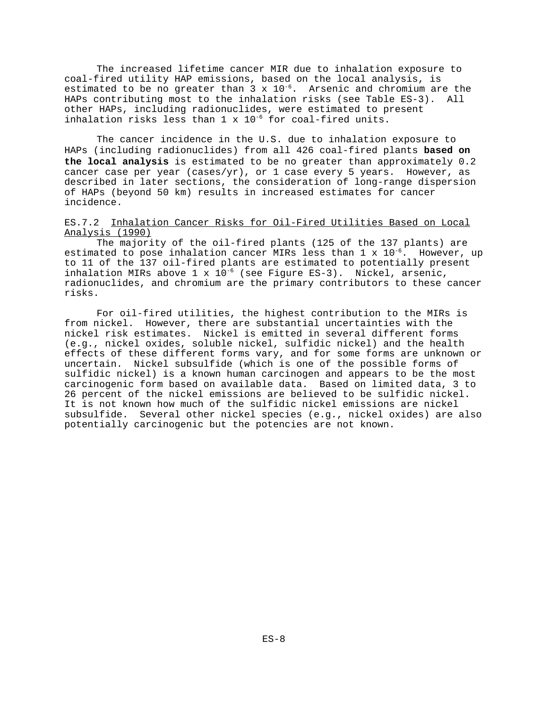The increased lifetime cancer MIR due to inhalation exposure to coal-fired utility HAP emissions, based on the local analysis, is estimated to be no greater than  $3 \times 10^{-6}$ . Arsenic and chromium are the HAPs contributing most to the inhalation risks (see Table ES-3). All other HAPs, including radionuclides, were estimated to present inhalation risks less than  $1 \times 10^{-6}$  for coal-fired units.

The cancer incidence in the U.S. due to inhalation exposure to HAPs (including radionuclides) from all 426 coal-fired plants **based on the local analysis** is estimated to be no greater than approximately 0.2 cancer case per year (cases/yr), or  $1$  case every 5 years. However, as described in later sections, the consideration of long-range dispersion of HAPs (beyond 50 km) results in increased estimates for cancer incidence.

## ES.7.2 Inhalation Cancer Risks for Oil-Fired Utilities Based on Local Analysis (1990)

The majority of the oil-fired plants (125 of the 137 plants) are estimated to pose inhalation cancer MIRs less than  $1 \times 10^{-6}$ . However, up to 11 of the 137 oil-fired plants are estimated to potentially present inhalation MIRs above  $1 \times 10^{-6}$  (see Figure ES-3). Nickel, arsenic, radionuclides, and chromium are the primary contributors to these cancer risks.

For oil-fired utilities, the highest contribution to the MIRs is from nickel. However, there are substantial uncertainties with the nickel risk estimates. Nickel is emitted in several different forms (e.g., nickel oxides, soluble nickel, sulfidic nickel) and the health effects of these different forms vary, and for some forms are unknown or uncertain. Nickel subsulfide (which is one of the possible forms of sulfidic nickel) is a known human carcinogen and appears to be the most carcinogenic form based on available data. Based on limited data, 3 to 26 percent of the nickel emissions are believed to be sulfidic nickel. It is not known how much of the sulfidic nickel emissions are nickel subsulfide. Several other nickel species (e.g., nickel oxides) are also potentially carcinogenic but the potencies are not known.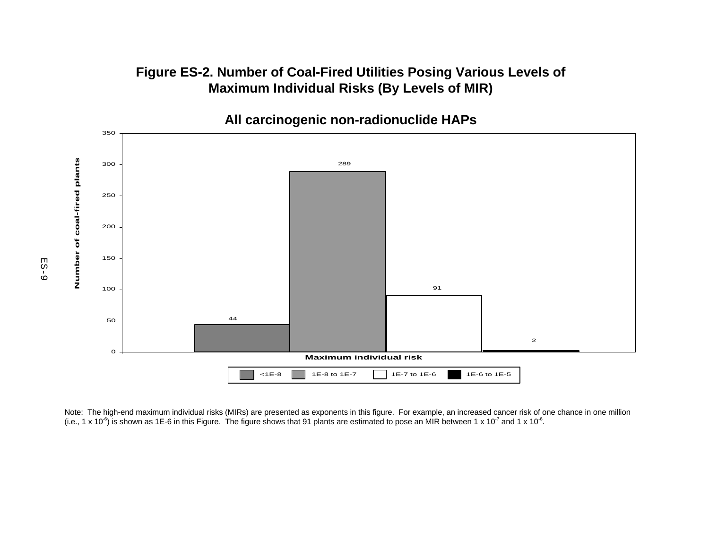## **Figure ES-2. Number of Coal-Fired Utilities Posing Various Levels of Maximum Individual Risks (By Levels of MIR)**



Note: The high-end maximum individual risks (MIRs) are presented as exponents in this figure. For example, an increased cancer risk of one chance in one million (i.e., 1 x 10<sup>-6</sup>) is shown as 1E-6 in this Figure. The figure shows that 91 plants are estimated to pose an MIR between 1 x 10<sup>-7</sup> and 1 x 10<sup>-6</sup>.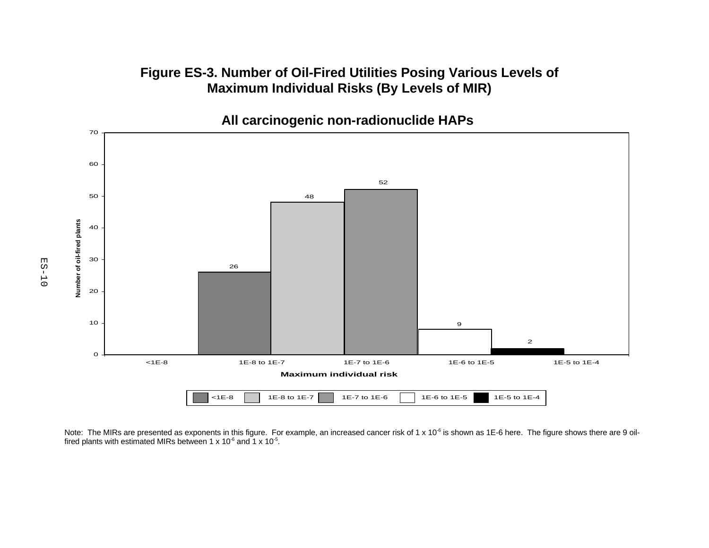# **Figure ES-3. Number of Oil-Fired Utilities Posing Various Levels of Maximum Individual Risks (By Levels of MIR)**



Note: The MIRs are presented as exponents in this figure. For example, an increased cancer risk of 1 x 10<sup>-6</sup> is shown as 1E-6 here. The figure shows there are 9 oilfired plants with estimated MIRs between 1 x 10 $\rm ^{6}$  and 1 x 10 $\rm ^{5}$ .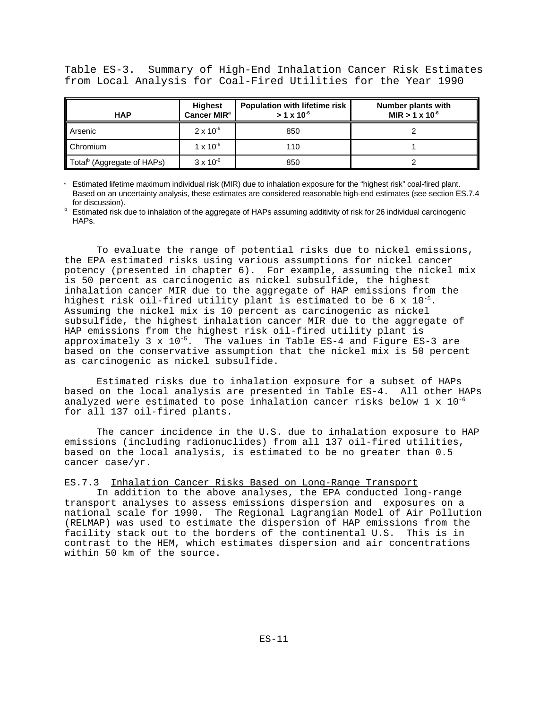Table ES-3. Summary of High-End Inhalation Cancer Risk Estimates from Local Analysis for Coal-Fired Utilities for the Year 1990

| <b>HAP</b>                             | <b>Highest</b><br>Cancer MIR <sup>a</sup> | <b>Population with lifetime risk</b><br>$> 1 \times 10^{-6}$ | Number plants with<br>MIR $> 1 \times 10^{-6}$ |
|----------------------------------------|-------------------------------------------|--------------------------------------------------------------|------------------------------------------------|
| Arsenic                                | $2 \times 10^{-6}$                        | 850                                                          |                                                |
| Chromium                               | $1 \times 10^{-6}$                        | 110                                                          |                                                |
| Total <sup>b</sup> (Aggregate of HAPs) | $3 \times 10^{-6}$                        | 850                                                          |                                                |

Estimated lifetime maximum individual risk (MIR) due to inhalation exposure for the "highest risk" coal-fired plant. Based on an uncertainty analysis, these estimates are considered reasonable high-end estimates (see section ES.7.4 for discussion).

**Estimated risk due to inhalation of the aggregate of HAPs assuming additivity of risk for 26 individual carcinogenic** HAPs.

To evaluate the range of potential risks due to nickel emissions, the EPA estimated risks using various assumptions for nickel cancer potency (presented in chapter 6). For example, assuming the nickel mix is 50 percent as carcinogenic as nickel subsulfide, the highest inhalation cancer MIR due to the aggregate of HAP emissions from the highest risk oil-fired utility plant is estimated to be 6 x  $10^{-5}$ . Assuming the nickel mix is 10 percent as carcinogenic as nickel subsulfide, the highest inhalation cancer MIR due to the aggregate of HAP emissions from the highest risk oil-fired utility plant is approximately 3 x  $10^{-5}$ . The values in Table ES-4 and Figure ES-3 are based on the conservative assumption that the nickel mix is 50 percent as carcinogenic as nickel subsulfide.

Estimated risks due to inhalation exposure for a subset of HAPs based on the local analysis are presented in Table ES-4. All other HAPs analyzed were estimated to pose inhalation cancer risks below  $1 \times 10^{-6}$ for all 137 oil-fired plants.

The cancer incidence in the U.S. due to inhalation exposure to HAP emissions (including radionuclides) from all 137 oil-fired utilities, based on the local analysis, is estimated to be no greater than 0.5 cancer case/yr.

ES.7.3 Inhalation Cancer Risks Based on Long-Range Transport

In addition to the above analyses, the EPA conducted long-range transport analyses to assess emissions dispersion and exposures on a national scale for 1990. The Regional Lagrangian Model of Air Pollution (RELMAP) was used to estimate the dispersion of HAP emissions from the facility stack out to the borders of the continental U.S. This is in contrast to the HEM, which estimates dispersion and air concentrations within 50 km of the source.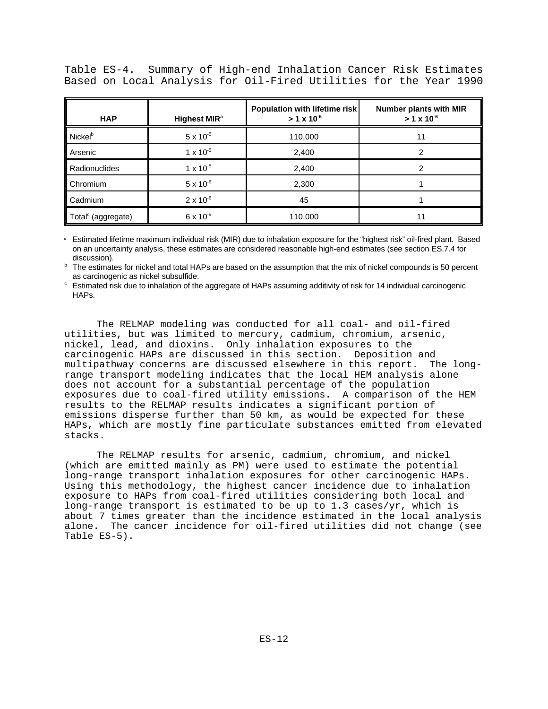Table ES-4. Summary of High-end Inhalation Cancer Risk Estimates Based on Local Analysis for Oil-Fired Utilities for the Year 1990

| <b>HAP</b>                     | Highest MIR <sup>a</sup> | Population with lifetime risk<br>$> 1 \times 10^{-6}$ | <b>Number plants with MIR</b><br>$> 1 \times 10^{-6}$ |
|--------------------------------|--------------------------|-------------------------------------------------------|-------------------------------------------------------|
| <b>Nickel</b> <sup>b</sup>     | $5 \times 10^{-5}$       | 110,000                                               | 11                                                    |
| Arsenic                        | $1 \times 10^{-5}$       | 2,400                                                 |                                                       |
| Radionuclides                  | $1 \times 10^{-5}$       | 2,400                                                 |                                                       |
| Chromium                       | $5 \times 10^{-6}$       | 2,300                                                 |                                                       |
| Cadmium                        | $2 \times 10^{-6}$       | 45                                                    |                                                       |
| Total <sup>c</sup> (aggregate) | $6 \times 10^{-5}$       | 110,000                                               |                                                       |

Estimated lifetime maximum individual risk (MIR) due to inhalation exposure for the "highest risk" oil-fired plant. Based on an uncertainty analysis, these estimates are considered reasonable high-end estimates (see section ES.7.4 for discussion).

<sup>b</sup> The estimates for nickel and total HAPs are based on the assumption that the mix of nickel compounds is 50 percent as carcinogenic as nickel subsulfide.

<sup>c</sup> Estimated risk due to inhalation of the aggregate of HAPs assuming additivity of risk for 14 individual carcinogenic HAPs.

The RELMAP modeling was conducted for all coal- and oil-fired utilities, but was limited to mercury, cadmium, chromium, arsenic, nickel, lead, and dioxins. Only inhalation exposures to the carcinogenic HAPs are discussed in this section. Deposition and multipathway concerns are discussed elsewhere in this report. The longrange transport modeling indicates that the local HEM analysis alone does not account for a substantial percentage of the population exposures due to coal-fired utility emissions. A comparison of the HEM results to the RELMAP results indicates a significant portion of emissions disperse further than 50 km, as would be expected for these HAPs, which are mostly fine particulate substances emitted from elevated stacks.

The RELMAP results for arsenic, cadmium, chromium, and nickel (which are emitted mainly as PM) were used to estimate the potential long-range transport inhalation exposures for other carcinogenic HAPs. Using this methodology, the highest cancer incidence due to inhalation exposure to HAPs from coal-fired utilities considering both local and long-range transport is estimated to be up to 1.3 cases/yr, which is about 7 times greater than the incidence estimated in the local analysis alone. The cancer incidence for oil-fired utilities did not change (see Table ES-5).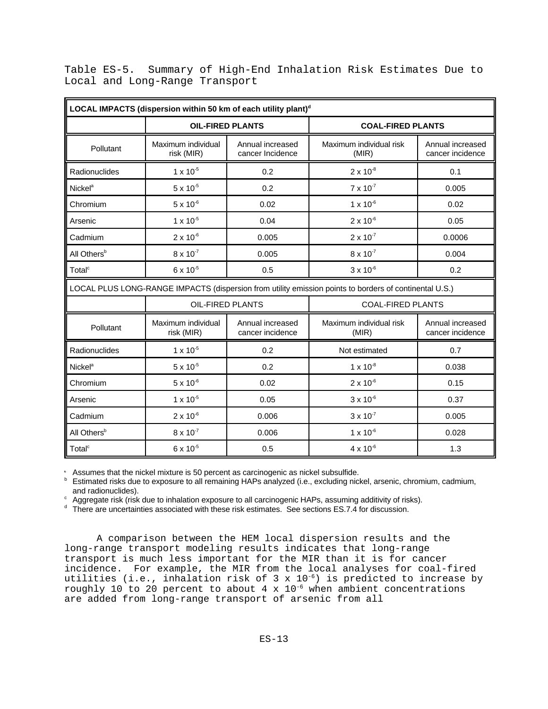|  |                                |  | Table ES-5. Summary of High-End Inhalation Risk Estimates Due to |  |  |
|--|--------------------------------|--|------------------------------------------------------------------|--|--|
|  | Local and Long-Range Transport |  |                                                                  |  |  |

| LOCAL IMPACTS (dispersion within 50 km of each utility plant) <sup>d</sup> |                                                     |                                      |                                                                                                        |                                      |  |  |  |  |  |
|----------------------------------------------------------------------------|-----------------------------------------------------|--------------------------------------|--------------------------------------------------------------------------------------------------------|--------------------------------------|--|--|--|--|--|
|                                                                            | <b>OIL-FIRED PLANTS</b><br><b>COAL-FIRED PLANTS</b> |                                      |                                                                                                        |                                      |  |  |  |  |  |
| Pollutant                                                                  | Maximum individual<br>risk (MIR)                    | Annual increased<br>cancer Incidence | Maximum individual risk<br>(MIR)                                                                       | Annual increased<br>cancer incidence |  |  |  |  |  |
| Radionuclides                                                              | $1 \times 10^{-5}$                                  | 0.2                                  | $2 \times 10^{-8}$                                                                                     | 0.1                                  |  |  |  |  |  |
| Nickel <sup>a</sup>                                                        | $5 \times 10^{-5}$                                  | 0.2                                  | $7 \times 10^{-7}$                                                                                     | 0.005                                |  |  |  |  |  |
| Chromium                                                                   | $5 \times 10^{-6}$                                  | 0.02                                 | $1 \times 10^{-6}$                                                                                     | 0.02                                 |  |  |  |  |  |
| Arsenic                                                                    | $1 \times 10^{-5}$                                  | 0.04                                 | $2 \times 10^{-6}$                                                                                     | 0.05                                 |  |  |  |  |  |
| Cadmium                                                                    | $2 \times 10^{-6}$                                  | 0.005                                | $2 \times 10^{-7}$                                                                                     | 0.0006                               |  |  |  |  |  |
| All Others <sup>b</sup>                                                    | $8 \times 10^{-7}$                                  | 0.005                                | $8 \times 10^{-7}$                                                                                     | 0.004                                |  |  |  |  |  |
| Total <sup>c</sup>                                                         | $6 \times 10^{-5}$                                  | 0.5                                  | $3 \times 10^{-6}$                                                                                     | 0.2                                  |  |  |  |  |  |
|                                                                            |                                                     |                                      | LOCAL PLUS LONG-RANGE IMPACTS (dispersion from utility emission points to borders of continental U.S.) |                                      |  |  |  |  |  |
|                                                                            | <b>OIL-FIRED PLANTS</b>                             |                                      | <b>COAL-FIRED PLANTS</b>                                                                               |                                      |  |  |  |  |  |
| Pollutant                                                                  | Maximum individual<br>risk (MIR)                    | Annual increased<br>cancer incidence | Maximum individual risk<br>(MIR)                                                                       | Annual increased<br>cancer incidence |  |  |  |  |  |
| Radionuclides                                                              | $1 \times 10^{-5}$                                  | 0.2                                  | Not estimated                                                                                          | 0.7                                  |  |  |  |  |  |
| <b>Nickel<sup>a</sup></b>                                                  | $5 \times 10^{-5}$                                  | 0.2                                  | $1 \times 10^{-8}$                                                                                     | 0.038                                |  |  |  |  |  |
| Chromium                                                                   | $5 \times 10^{-6}$                                  | 0.02                                 | $2 \times 10^{-6}$                                                                                     | 0.15                                 |  |  |  |  |  |
| Arsenic                                                                    | $1 \times 10^{-5}$                                  | 0.05                                 | $3 \times 10^{-6}$                                                                                     | 0.37                                 |  |  |  |  |  |
| Cadmium                                                                    | $2 \times 10^{-6}$                                  | 0.006                                | $3 \times 10^{-7}$                                                                                     | 0.005                                |  |  |  |  |  |
| All Others <sup>b</sup>                                                    | $8 \times 10^{-7}$                                  | 0.006                                | $1 \times 10^{-6}$                                                                                     | 0.028                                |  |  |  |  |  |
| Total <sup>c</sup>                                                         | $6 \times 10^{-5}$                                  | 0.5                                  | $4 \times 10^{-6}$                                                                                     | 1.3                                  |  |  |  |  |  |

Assumes that the nickel mixture is 50 percent as carcinogenic as nickel subsulfide.

**b** Estimated risks due to exposure to all remaining HAPs analyzed (i.e., excluding nickel, arsenic, chromium, cadmium, and radionuclides).

Aggregate risk (risk due to inhalation exposure to all carcinogenic HAPs, assuming additivity of risks). <sup>c</sup>

 $d$  There are uncertainties associated with these risk estimates. See sections ES.7.4 for discussion.

A comparison between the HEM local dispersion results and the long-range transport modeling results indicates that long-range transport is much less important for the MIR than it is for cancer incidence. For example, the MIR from the local analyses for coal-fired utilities (i.e., inhalation risk of 3 x  $10^{-6}$ ) is predicted to increase by roughly 10 to 20 percent to about 4 x  $10^{-6}$  when ambient concentrations are added from long-range transport of arsenic from all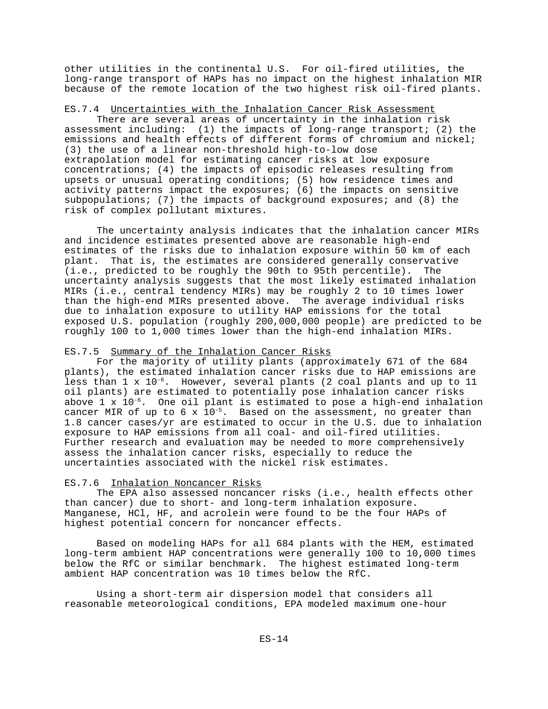other utilities in the continental U.S. For oil-fired utilities, the long-range transport of HAPs has no impact on the highest inhalation MIR because of the remote location of the two highest risk oil-fired plants.

## ES.7.4 Uncertainties with the Inhalation Cancer Risk Assessment

There are several areas of uncertainty in the inhalation risk assessment including: (1) the impacts of long-range transport; (2) the emissions and health effects of different forms of chromium and nickel; (3) the use of a linear non-threshold high-to-low dose extrapolation model for estimating cancer risks at low exposure concentrations; (4) the impacts of episodic releases resulting from upsets or unusual operating conditions; (5) how residence times and activity patterns impact the exposures; (6) the impacts on sensitive subpopulations; (7) the impacts of background exposures; and  $(8)$  the risk of complex pollutant mixtures.

The uncertainty analysis indicates that the inhalation cancer MIRs and incidence estimates presented above are reasonable high-end estimates of the risks due to inhalation exposure within 50 km of each plant. That is, the estimates are considered generally conservative (i.e., predicted to be roughly the 90th to 95th percentile). The uncertainty analysis suggests that the most likely estimated inhalation MIRs (i.e., central tendency MIRs) may be roughly 2 to 10 times lower than the high-end MIRs presented above. The average individual risks due to inhalation exposure to utility HAP emissions for the total exposed U.S. population (roughly 200,000,000 people) are predicted to be roughly 100 to 1,000 times lower than the high-end inhalation MIRs.

#### ES.7.5 Summary of the Inhalation Cancer Risks

For the majority of utility plants (approximately 671 of the 684 plants), the estimated inhalation cancer risks due to HAP emissions are less than  $1 \times 10^{-6}$ . However, several plants (2 coal plants and up to 11 oil plants) are estimated to potentially pose inhalation cancer risks above 1 x  $10^{-6}$ . One oil plant is estimated to pose a high-end inhalation cancer MIR of up to 6 x  $10^{-5}$ . Based on the assessment, no greater than 1.8 cancer cases/yr are estimated to occur in the U.S. due to inhalation exposure to HAP emissions from all coal- and oil-fired utilities. Further research and evaluation may be needed to more comprehensively assess the inhalation cancer risks, especially to reduce the uncertainties associated with the nickel risk estimates.

#### ES.7.6 Inhalation Noncancer Risks

The EPA also assessed noncancer risks (i.e., health effects other than cancer) due to short- and long-term inhalation exposure. Manganese, HCl, HF, and acrolein were found to be the four HAPs of highest potential concern for noncancer effects.

Based on modeling HAPs for all 684 plants with the HEM, estimated long-term ambient HAP concentrations were generally 100 to 10,000 times below the RfC or similar benchmark. The highest estimated long-term ambient HAP concentration was 10 times below the RfC.

Using a short-term air dispersion model that considers all reasonable meteorological conditions, EPA modeled maximum one-hour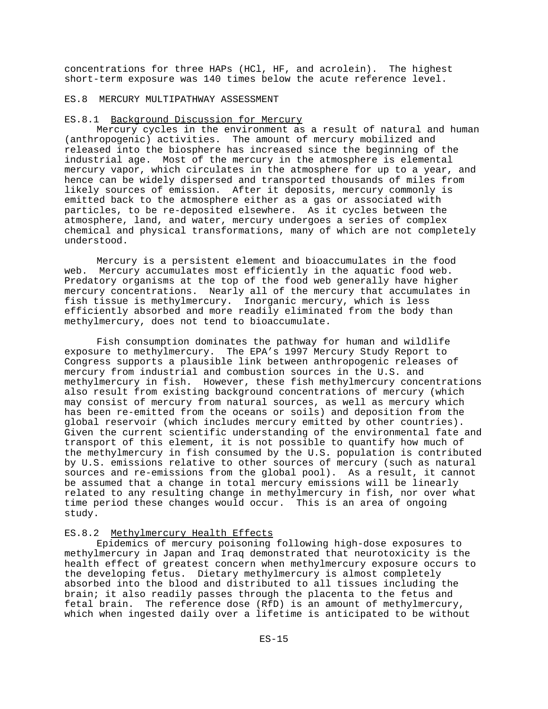concentrations for three HAPs (HCl, HF, and acrolein). The highest short-term exposure was 140 times below the acute reference level.

#### ES.8 MERCURY MULTIPATHWAY ASSESSMENT

## ES.8.1 Background Discussion for Mercury

Mercury cycles in the environment as a result of natural and human (anthropogenic) activities. The amount of mercury mobilized and released into the biosphere has increased since the beginning of the industrial age. Most of the mercury in the atmosphere is elemental mercury vapor, which circulates in the atmosphere for up to a year, and hence can be widely dispersed and transported thousands of miles from likely sources of emission. After it deposits, mercury commonly is emitted back to the atmosphere either as a gas or associated with particles, to be re-deposited elsewhere. As it cycles between the atmosphere, land, and water, mercury undergoes a series of complex chemical and physical transformations, many of which are not completely understood.

Mercury is a persistent element and bioaccumulates in the food web. Mercury accumulates most efficiently in the aquatic food web. Predatory organisms at the top of the food web generally have higher mercury concentrations. Nearly all of the mercury that accumulates in fish tissue is methylmercury. Inorganic mercury, which is less efficiently absorbed and more readily eliminated from the body than methylmercury, does not tend to bioaccumulate.

Fish consumption dominates the pathway for human and wildlife exposure to methylmercury. The EPA's 1997 Mercury Study Report to Congress supports a plausible link between anthropogenic releases of mercury from industrial and combustion sources in the U.S. and methylmercury in fish. However, these fish methylmercury concentrations also result from existing background concentrations of mercury (which may consist of mercury from natural sources, as well as mercury which has been re-emitted from the oceans or soils) and deposition from the global reservoir (which includes mercury emitted by other countries). Given the current scientific understanding of the environmental fate and transport of this element, it is not possible to quantify how much of the methylmercury in fish consumed by the U.S. population is contributed by U.S. emissions relative to other sources of mercury (such as natural sources and re-emissions from the global pool). As a result, it cannot be assumed that a change in total mercury emissions will be linearly related to any resulting change in methylmercury in fish, nor over what time period these changes would occur. This is an area of ongoing study.

## ES.8.2 Methylmercury Health Effects

Epidemics of mercury poisoning following high-dose exposures to methylmercury in Japan and Iraq demonstrated that neurotoxicity is the health effect of greatest concern when methylmercury exposure occurs to the developing fetus. Dietary methylmercury is almost completely absorbed into the blood and distributed to all tissues including the brain; it also readily passes through the placenta to the fetus and fetal brain. The reference dose (RfD) is an amount of methylmercury, which when ingested daily over a lifetime is anticipated to be without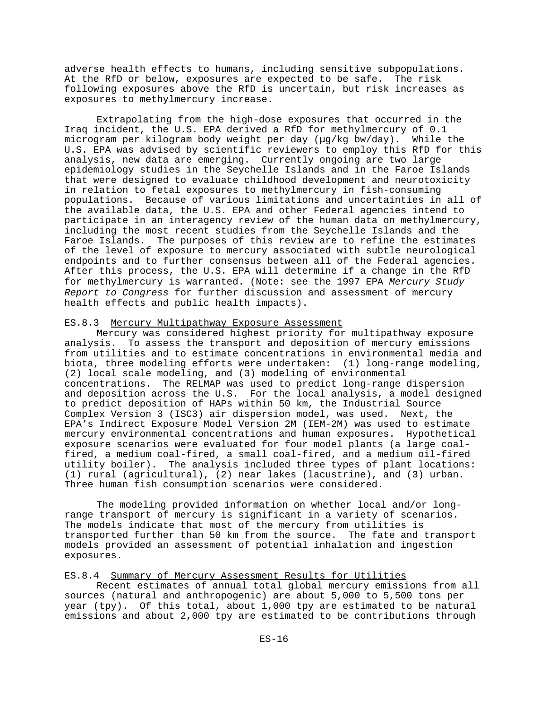adverse health effects to humans, including sensitive subpopulations. At the RfD or below, exposures are expected to be safe. The risk following exposures above the RfD is uncertain, but risk increases as exposures to methylmercury increase.

Extrapolating from the high-dose exposures that occurred in the Iraq incident, the U.S. EPA derived a RfD for methylmercury of 0.1 microgram per kilogram body weight per day (µg/kg bw/day). While the U.S. EPA was advised by scientific reviewers to employ this RfD for this analysis, new data are emerging. Currently ongoing are two large epidemiology studies in the Seychelle Islands and in the Faroe Islands that were designed to evaluate childhood development and neurotoxicity in relation to fetal exposures to methylmercury in fish-consuming populations. Because of various limitations and uncertainties in all of the available data, the U.S. EPA and other Federal agencies intend to participate in an interagency review of the human data on methylmercury, including the most recent studies from the Seychelle Islands and the Faroe Islands. The purposes of this review are to refine the estimates of the level of exposure to mercury associated with subtle neurological endpoints and to further consensus between all of the Federal agencies. After this process, the U.S. EPA will determine if a change in the RfD for methylmercury is warranted. (Note: see the 1997 EPA *Mercury Study Report to Congress* for further discussion and assessment of mercury health effects and public health impacts).

### ES.8.3 Mercury Multipathway Exposure Assessment

Mercury was considered highest priority for multipathway exposure analysis. To assess the transport and deposition of mercury emissions from utilities and to estimate concentrations in environmental media and biota, three modeling efforts were undertaken: (1) long-range modeling, (2) local scale modeling, and (3) modeling of environmental concentrations. The RELMAP was used to predict long-range dispersion and deposition across the U.S. For the local analysis, a model designed to predict deposition of HAPs within 50 km, the Industrial Source Complex Version 3 (ISC3) air dispersion model, was used. Next, the EPA's Indirect Exposure Model Version 2M (IEM-2M) was used to estimate mercury environmental concentrations and human exposures. Hypothetical exposure scenarios were evaluated for four model plants (a large coalfired, a medium coal-fired, a small coal-fired, and a medium oil-fired utility boiler). The analysis included three types of plant locations: (1) rural (agricultural), (2) near lakes (lacustrine), and (3) urban. Three human fish consumption scenarios were considered.

The modeling provided information on whether local and/or longrange transport of mercury is significant in a variety of scenarios. The models indicate that most of the mercury from utilities is transported further than 50 km from the source. The fate and transport models provided an assessment of potential inhalation and ingestion exposures.

## ES.8.4 Summary of Mercury Assessment Results for Utilities

Recent estimates of annual total global mercury emissions from all sources (natural and anthropogenic) are about 5,000 to 5,500 tons per year (tpy). Of this total, about 1,000 tpy are estimated to be natural emissions and about 2,000 tpy are estimated to be contributions through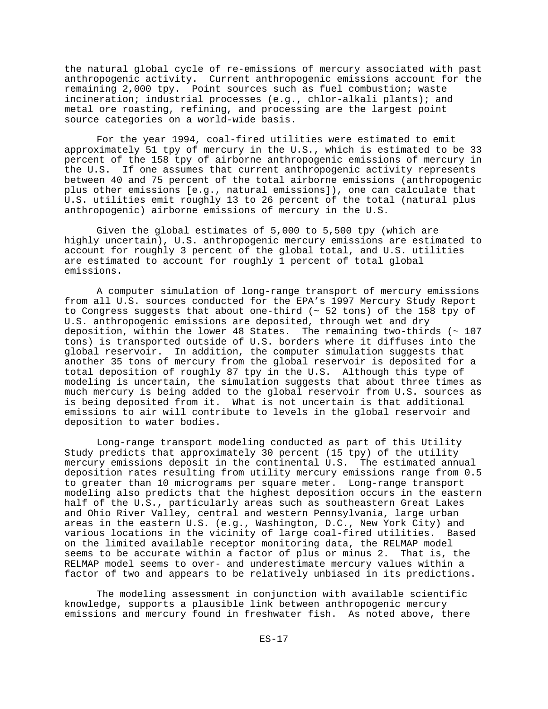the natural global cycle of re-emissions of mercury associated with past anthropogenic activity. Current anthropogenic emissions account for the remaining 2,000 tpy. Point sources such as fuel combustion; waste incineration; industrial processes (e.g., chlor-alkali plants); and metal ore roasting, refining, and processing are the largest point source categories on a world-wide basis.

For the year 1994, coal-fired utilities were estimated to emit approximately 51 tpy of mercury in the U.S., which is estimated to be 33 percent of the 158 tpy of airborne anthropogenic emissions of mercury in the U.S. If one assumes that current anthropogenic activity represents between 40 and 75 percent of the total airborne emissions (anthropogenic plus other emissions [e.g., natural emissions]), one can calculate that U.S. utilities emit roughly 13 to 26 percent of the total (natural plus anthropogenic) airborne emissions of mercury in the U.S.

Given the global estimates of 5,000 to 5,500 tpy (which are highly uncertain), U.S. anthropogenic mercury emissions are estimated to account for roughly 3 percent of the global total, and U.S. utilities are estimated to account for roughly 1 percent of total global emissions.

A computer simulation of long-range transport of mercury emissions from all U.S. sources conducted for the EPA's 1997 Mercury Study Report to Congress suggests that about one-third (~ 52 tons) of the 158 tpy of U.S. anthropogenic emissions are deposited, through wet and dry deposition, within the lower 48 States. The remaining two-thirds  $($   $\sim$  107 tons) is transported outside of U.S. borders where it diffuses into the global reservoir. In addition, the computer simulation suggests that another 35 tons of mercury from the global reservoir is deposited for a total deposition of roughly 87 tpy in the U.S. Although this type of modeling is uncertain, the simulation suggests that about three times as much mercury is being added to the global reservoir from U.S. sources as is being deposited from it. What is not uncertain is that additional emissions to air will contribute to levels in the global reservoir and deposition to water bodies.

Long-range transport modeling conducted as part of this Utility Study predicts that approximately 30 percent (15 tpy) of the utility mercury emissions deposit in the continental U.S. The estimated annual deposition rates resulting from utility mercury emissions range from 0.5 to greater than 10 micrograms per square meter. Long-range transport modeling also predicts that the highest deposition occurs in the eastern half of the U.S., particularly areas such as southeastern Great Lakes and Ohio River Valley, central and western Pennsylvania, large urban areas in the eastern U.S. (e.g., Washington, D.C., New York City) and various locations in the vicinity of large coal-fired utilities. Based on the limited available receptor monitoring data, the RELMAP model seems to be accurate within a factor of plus or minus 2. That is, the RELMAP model seems to over- and underestimate mercury values within a factor of two and appears to be relatively unbiased in its predictions.

The modeling assessment in conjunction with available scientific knowledge, supports a plausible link between anthropogenic mercury emissions and mercury found in freshwater fish. As noted above, there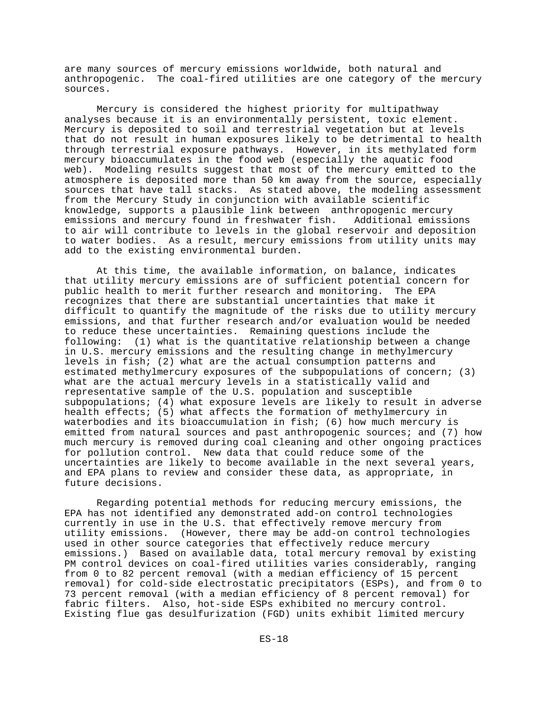are many sources of mercury emissions worldwide, both natural and anthropogenic. The coal-fired utilities are one category of the mercury sources.

Mercury is considered the highest priority for multipathway analyses because it is an environmentally persistent, toxic element. Mercury is deposited to soil and terrestrial vegetation but at levels that do not result in human exposures likely to be detrimental to health through terrestrial exposure pathways. However, in its methylated form mercury bioaccumulates in the food web (especially the aquatic food web). Modeling results suggest that most of the mercury emitted to the atmosphere is deposited more than 50 km away from the source, especially sources that have tall stacks. As stated above, the modeling assessment from the Mercury Study in conjunction with available scientific knowledge, supports a plausible link between anthropogenic mercury emissions and mercury found in freshwater fish. to air will contribute to levels in the global reservoir and deposition to water bodies. As a result, mercury emissions from utility units may add to the existing environmental burden.

At this time, the available information, on balance, indicates that utility mercury emissions are of sufficient potential concern for public health to merit further research and monitoring. The EPA recognizes that there are substantial uncertainties that make it difficult to quantify the magnitude of the risks due to utility mercury emissions, and that further research and/or evaluation would be needed to reduce these uncertainties. Remaining questions include the following: (1) what is the quantitative relationship between a change in U.S. mercury emissions and the resulting change in methylmercury levels in fish; (2) what are the actual consumption patterns and estimated methylmercury exposures of the subpopulations of concern; (3) what are the actual mercury levels in a statistically valid and representative sample of the U.S. population and susceptible subpopulations; (4) what exposure levels are likely to result in adverse health effects; (5) what affects the formation of methylmercury in waterbodies and its bioaccumulation in fish; (6) how much mercury is emitted from natural sources and past anthropogenic sources; and (7) how much mercury is removed during coal cleaning and other ongoing practices for pollution control. New data that could reduce some of the uncertainties are likely to become available in the next several years, and EPA plans to review and consider these data, as appropriate, in future decisions.

Regarding potential methods for reducing mercury emissions, the EPA has not identified any demonstrated add-on control technologies currently in use in the U.S. that effectively remove mercury from utility emissions. (However, there may be add-on control technologies used in other source categories that effectively reduce mercury emissions.) Based on available data, total mercury removal by existing PM control devices on coal-fired utilities varies considerably, ranging from 0 to 82 percent removal (with a median efficiency of 15 percent removal) for cold-side electrostatic precipitators (ESPs), and from 0 to 73 percent removal (with a median efficiency of 8 percent removal) for fabric filters. Also, hot-side ESPs exhibited no mercury control. Existing flue gas desulfurization (FGD) units exhibit limited mercury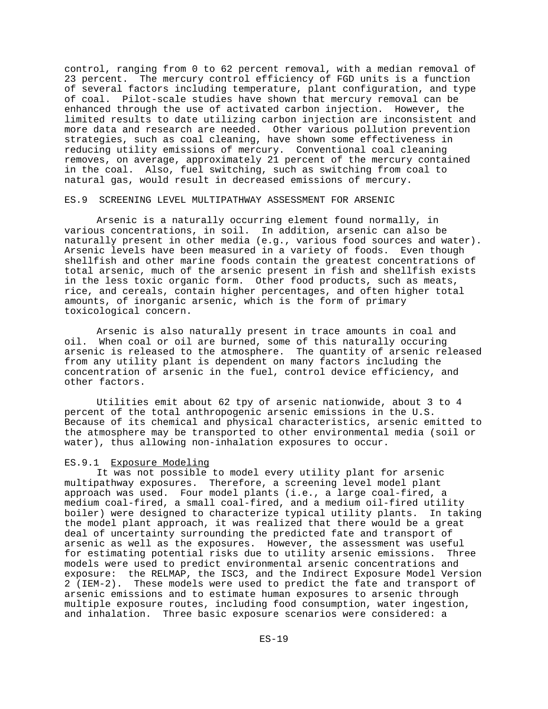control, ranging from 0 to 62 percent removal, with a median removal of 23 percent. The mercury control efficiency of FGD units is a function of several factors including temperature, plant configuration, and type of coal. Pilot-scale studies have shown that mercury removal can be enhanced through the use of activated carbon injection. However, the limited results to date utilizing carbon injection are inconsistent and more data and research are needed. Other various pollution prevention strategies, such as coal cleaning, have shown some effectiveness in reducing utility emissions of mercury. Conventional coal cleaning removes, on average, approximately 21 percent of the mercury contained in the coal. Also, fuel switching, such as switching from coal to natural gas, would result in decreased emissions of mercury.

#### ES.9 SCREENING LEVEL MULTIPATHWAY ASSESSMENT FOR ARSENIC

Arsenic is a naturally occurring element found normally, in various concentrations, in soil. In addition, arsenic can also be naturally present in other media (e.g., various food sources and water). Arsenic levels have been measured in a variety of foods. Even though shellfish and other marine foods contain the greatest concentrations of total arsenic, much of the arsenic present in fish and shellfish exists in the less toxic organic form. Other food products, such as meats, rice, and cereals, contain higher percentages, and often higher total amounts, of inorganic arsenic, which is the form of primary toxicological concern.

Arsenic is also naturally present in trace amounts in coal and oil. When coal or oil are burned, some of this naturally occuring arsenic is released to the atmosphere. The quantity of arsenic released from any utility plant is dependent on many factors including the concentration of arsenic in the fuel, control device efficiency, and other factors.

Utilities emit about 62 tpy of arsenic nationwide, about 3 to 4 percent of the total anthropogenic arsenic emissions in the U.S. Because of its chemical and physical characteristics, arsenic emitted to the atmosphere may be transported to other environmental media (soil or water), thus allowing non-inhalation exposures to occur.

#### ES.9.1 Exposure Modeling

It was not possible to model every utility plant for arsenic multipathway exposures. Therefore, a screening level model plant approach was used. Four model plants (i.e., a large coal-fired, a medium coal-fired, a small coal-fired, and a medium oil-fired utility boiler) were designed to characterize typical utility plants. In taking the model plant approach, it was realized that there would be a great deal of uncertainty surrounding the predicted fate and transport of arsenic as well as the exposures. However, the assessment was useful for estimating potential risks due to utility arsenic emissions. Three models were used to predict environmental arsenic concentrations and exposure: the RELMAP, the ISC3, and the Indirect Exposure Model Version 2 (IEM-2). These models were used to predict the fate and transport of arsenic emissions and to estimate human exposures to arsenic through multiple exposure routes, including food consumption, water ingestion, and inhalation. Three basic exposure scenarios were considered: a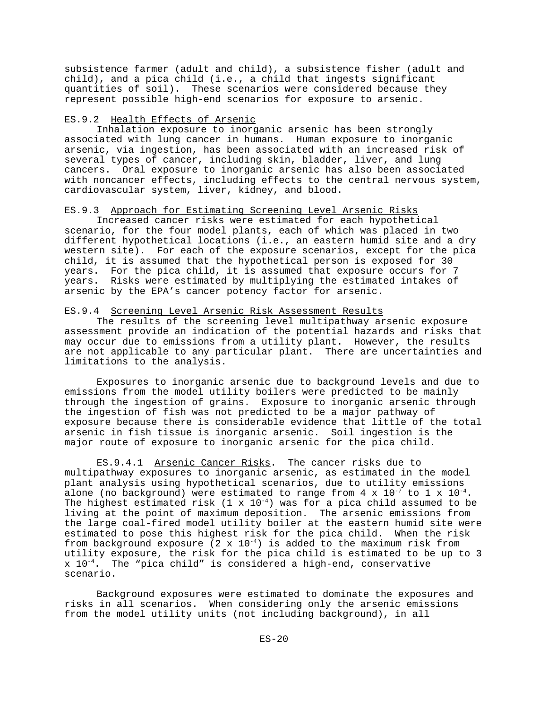subsistence farmer (adult and child), a subsistence fisher (adult and child), and a pica child (i.e., a child that ingests significant quantities of soil). These scenarios were considered because they represent possible high-end scenarios for exposure to arsenic.

## ES.9.2 Health Effects of Arsenic

Inhalation exposure to inorganic arsenic has been strongly associated with lung cancer in humans. Human exposure to inorganic arsenic, via ingestion, has been associated with an increased risk of several types of cancer, including skin, bladder, liver, and lung cancers. Oral exposure to inorganic arsenic has also been associated with noncancer effects, including effects to the central nervous system, cardiovascular system, liver, kidney, and blood.

## ES.9.3 Approach for Estimating Screening Level Arsenic Risks

Increased cancer risks were estimated for each hypothetical scenario, for the four model plants, each of which was placed in two different hypothetical locations (i.e., an eastern humid site and a dry western site). For each of the exposure scenarios, except for the pica child, it is assumed that the hypothetical person is exposed for 30 years. For the pica child, it is assumed that exposure occurs for 7 years. Risks were estimated by multiplying the estimated intakes of arsenic by the EPA's cancer potency factor for arsenic.

## ES.9.4 Screening Level Arsenic Risk Assessment Results

The results of the screening level multipathway arsenic exposure assessment provide an indication of the potential hazards and risks that may occur due to emissions from a utility plant. However, the results are not applicable to any particular plant. There are uncertainties and limitations to the analysis.

Exposures to inorganic arsenic due to background levels and due to emissions from the model utility boilers were predicted to be mainly through the ingestion of grains. Exposure to inorganic arsenic through the ingestion of fish was not predicted to be a major pathway of exposure because there is considerable evidence that little of the total arsenic in fish tissue is inorganic arsenic. Soil ingestion is the major route of exposure to inorganic arsenic for the pica child.

ES.9.4.1 Arsenic Cancer Risks. The cancer risks due to multipathway exposures to inorganic arsenic, as estimated in the model plant analysis using hypothetical scenarios, due to utility emissions alone (no background) were estimated to range from  $4 \times 10^{-7}$  to  $1 \times 10^{-4}$ . The highest estimated risk  $(1 \times 10^{-4})$  was for a pica child assumed to be living at the point of maximum deposition. The arsenic emissions from the large coal-fired model utility boiler at the eastern humid site were estimated to pose this highest risk for the pica child. When the risk from background exposure  $(2 \times 10^{-4})$  is added to the maximum risk from utility exposure, the risk for the pica child is estimated to be up to 3  $x$  10<sup>-4</sup>. The "pica child" is considered a high-end, conservative scenario.

Background exposures were estimated to dominate the exposures and risks in all scenarios. When considering only the arsenic emissions from the model utility units (not including background), in all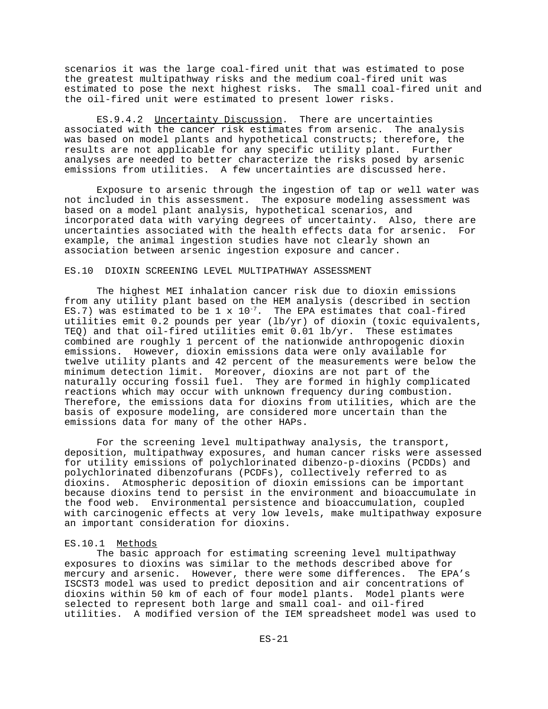scenarios it was the large coal-fired unit that was estimated to pose the greatest multipathway risks and the medium coal-fired unit was estimated to pose the next highest risks. The small coal-fired unit and the oil-fired unit were estimated to present lower risks.

ES.9.4.2 Uncertainty Discussion. There are uncertainties associated with the cancer risk estimates from arsenic. The analysis was based on model plants and hypothetical constructs; therefore, the results are not applicable for any specific utility plant. Further analyses are needed to better characterize the risks posed by arsenic emissions from utilities. A few uncertainties are discussed here.

Exposure to arsenic through the ingestion of tap or well water was not included in this assessment. The exposure modeling assessment was based on a model plant analysis, hypothetical scenarios, and incorporated data with varying degrees of uncertainty. Also, there are uncertainties associated with the health effects data for arsenic. For example, the animal ingestion studies have not clearly shown an association between arsenic ingestion exposure and cancer.

## ES.10 DIOXIN SCREENING LEVEL MULTIPATHWAY ASSESSMENT

The highest MEI inhalation cancer risk due to dioxin emissions from any utility plant based on the HEM analysis (described in section ES.7) was estimated to be 1 x  $10^{-7}$ . The EPA estimates that coal-fired utilities emit 0.2 pounds per year (lb/yr) of dioxin (toxic equivalents, TEQ) and that oil-fired utilities emit  $0.01$  lb/ $yr$ . These estimates combined are roughly 1 percent of the nationwide anthropogenic dioxin emissions. However, dioxin emissions data were only available for twelve utility plants and 42 percent of the measurements were below the minimum detection limit. Moreover, dioxins are not part of the naturally occuring fossil fuel. They are formed in highly complicated reactions which may occur with unknown frequency during combustion. Therefore, the emissions data for dioxins from utilities, which are the basis of exposure modeling, are considered more uncertain than the emissions data for many of the other HAPs.

For the screening level multipathway analysis, the transport, deposition, multipathway exposures, and human cancer risks were assessed for utility emissions of polychlorinated dibenzo-p-dioxins (PCDDs) and polychlorinated dibenzofurans (PCDFs), collectively referred to as dioxins. Atmospheric deposition of dioxin emissions can be important because dioxins tend to persist in the environment and bioaccumulate in the food web. Environmental persistence and bioaccumulation, coupled with carcinogenic effects at very low levels, make multipathway exposure an important consideration for dioxins.

#### ES.10.1 Methods

The basic approach for estimating screening level multipathway exposures to dioxins was similar to the methods described above for mercury and arsenic. However, there were some differences. The EPA's ISCST3 model was used to predict deposition and air concentrations of dioxins within 50 km of each of four model plants. Model plants were selected to represent both large and small coal- and oil-fired utilities. A modified version of the IEM spreadsheet model was used to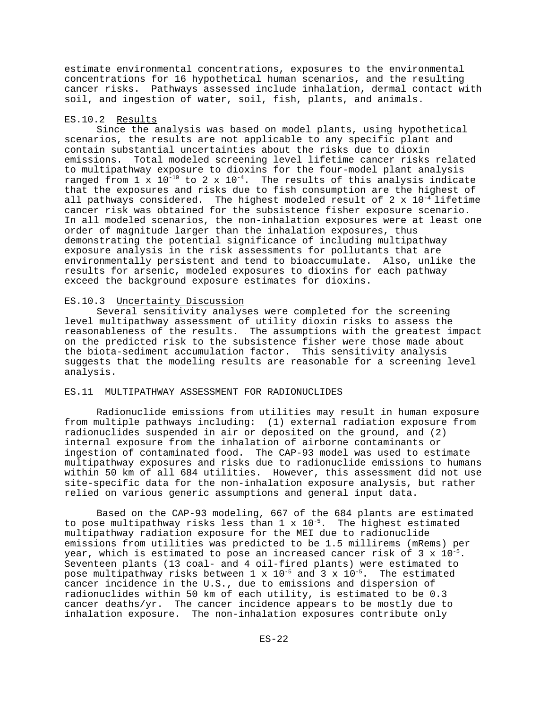estimate environmental concentrations, exposures to the environmental concentrations for 16 hypothetical human scenarios, and the resulting cancer risks. Pathways assessed include inhalation, dermal contact with soil, and ingestion of water, soil, fish, plants, and animals.

#### ES.10.2 Results

Since the analysis was based on model plants, using hypothetical scenarios, the results are not applicable to any specific plant and contain substantial uncertainties about the risks due to dioxin emissions. Total modeled screening level lifetime cancer risks related to multipathway exposure to dioxins for the four-model plant analysis ranged from  $1 \times 10^{-10}$  to  $2 \times 10^{-4}$ . The results of this analysis indicate that the exposures and risks due to fish consumption are the highest of all pathways considered. The highest modeled result of 2 x  $10^{-4}$  lifetime cancer risk was obtained for the subsistence fisher exposure scenario. In all modeled scenarios, the non-inhalation exposures were at least one order of magnitude larger than the inhalation exposures, thus demonstrating the potential significance of including multipathway exposure analysis in the risk assessments for pollutants that are environmentally persistent and tend to bioaccumulate. Also, unlike the results for arsenic, modeled exposures to dioxins for each pathway exceed the background exposure estimates for dioxins.

#### ES.10.3 Uncertainty Discussion

Several sensitivity analyses were completed for the screening level multipathway assessment of utility dioxin risks to assess the reasonableness of the results. The assumptions with the greatest impact on the predicted risk to the subsistence fisher were those made about the biota-sediment accumulation factor. This sensitivity analysis suggests that the modeling results are reasonable for a screening level analysis.

## ES.11 MULTIPATHWAY ASSESSMENT FOR RADIONUCLIDES

Radionuclide emissions from utilities may result in human exposure from multiple pathways including: (1) external radiation exposure from radionuclides suspended in air or deposited on the ground, and (2) internal exposure from the inhalation of airborne contaminants or ingestion of contaminated food. The CAP-93 model was used to estimate multipathway exposures and risks due to radionuclide emissions to humans within 50 km of all 684 utilities. However, this assessment did not use site-specific data for the non-inhalation exposure analysis, but rather relied on various generic assumptions and general input data.

Based on the CAP-93 modeling, 667 of the 684 plants are estimated to pose multipathway risks less than  $1 \times 10^{-5}$ . The highest estimated multipathway radiation exposure for the MEI due to radionuclide emissions from utilities was predicted to be 1.5 millirems (mRems) per year, which is estimated to pose an increased cancer risk of 3 x  $10^{-5}$ . Seventeen plants (13 coal- and 4 oil-fired plants) were estimated to pose multipathway risks between  $1 \times 10^{-5}$  and  $3 \times 10^{-5}$ . The estimated cancer incidence in the U.S., due to emissions and dispersion of radionuclides within 50 km of each utility, is estimated to be 0.3 cancer deaths/yr. The cancer incidence appears to be mostly due to inhalation exposure. The non-inhalation exposures contribute only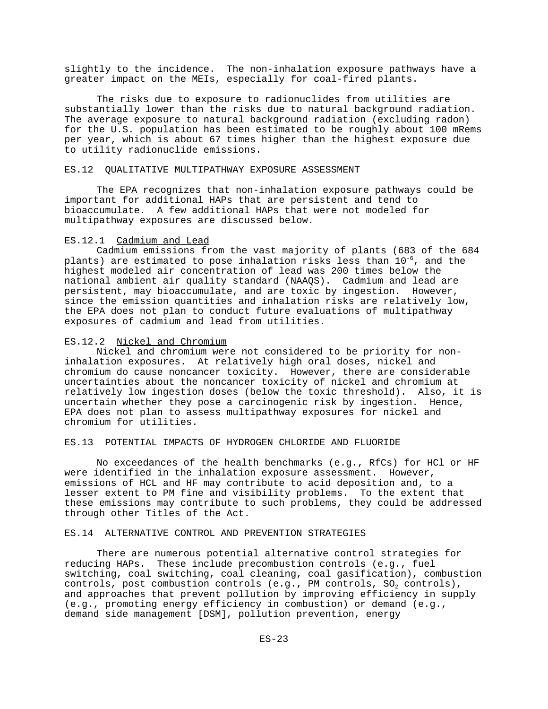slightly to the incidence. The non-inhalation exposure pathways have a greater impact on the MEIs, especially for coal-fired plants.

The risks due to exposure to radionuclides from utilities are substantially lower than the risks due to natural background radiation. The average exposure to natural background radiation (excluding radon) for the U.S. population has been estimated to be roughly about 100 mRems per year, which is about 67 times higher than the highest exposure due to utility radionuclide emissions.

#### ES.12 QUALITATIVE MULTIPATHWAY EXPOSURE ASSESSMENT

The EPA recognizes that non-inhalation exposure pathways could be important for additional HAPs that are persistent and tend to bioaccumulate. A few additional HAPs that were not modeled for multipathway exposures are discussed below.

## ES.12.1 Cadmium and Lead

Cadmium emissions from the vast majority of plants (683 of the 684 plants) are estimated to pose inhalation risks less than  $10^{-6}$ , and the highest modeled air concentration of lead was 200 times below the national ambient air quality standard (NAAQS). Cadmium and lead are persistent, may bioaccumulate, and are toxic by ingestion. However, since the emission quantities and inhalation risks are relatively low, the EPA does not plan to conduct future evaluations of multipathway exposures of cadmium and lead from utilities.

#### ES.12.2 Nickel and Chromium

Nickel and chromium were not considered to be priority for noninhalation exposures. At relatively high oral doses, nickel and chromium do cause noncancer toxicity. However, there are considerable uncertainties about the noncancer toxicity of nickel and chromium at relatively low ingestion doses (below the toxic threshold). Also, it is uncertain whether they pose a carcinogenic risk by ingestion. Hence, EPA does not plan to assess multipathway exposures for nickel and chromium for utilities.

## ES.13 POTENTIAL IMPACTS OF HYDROGEN CHLORIDE AND FLUORIDE

No exceedances of the health benchmarks (e.g., RfCs) for HCl or HF were identified in the inhalation exposure assessment. However, emissions of HCL and HF may contribute to acid deposition and, to a lesser extent to PM fine and visibility problems. To the extent that these emissions may contribute to such problems, they could be addressed through other Titles of the Act.

#### ES.14 ALTERNATIVE CONTROL AND PREVENTION STRATEGIES

There are numerous potential alternative control strategies for reducing HAPs. These include precombustion controls (e.g., fuel switching, coal switching, coal cleaning, coal gasification), combustion controls, post combustion controls (e.g., PM controls,  $SO_2$  controls), and approaches that prevent pollution by improving efficiency in supply (e.g., promoting energy efficiency in combustion) or demand (e.g., demand side management [DSM], pollution prevention, energy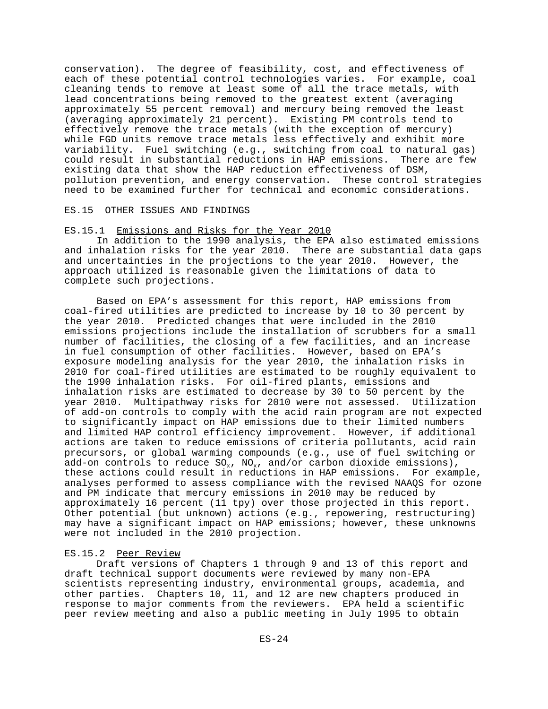conservation). The degree of feasibility, cost, and effectiveness of each of these potential control technologies varies. For example, coal cleaning tends to remove at least some of all the trace metals, with lead concentrations being removed to the greatest extent (averaging approximately 55 percent removal) and mercury being removed the least (averaging approximately 21 percent). Existing PM controls tend to effectively remove the trace metals (with the exception of mercury) while FGD units remove trace metals less effectively and exhibit more variability. Fuel switching (e.g., switching from coal to natural gas) could result in substantial reductions in HAP emissions. There are few existing data that show the HAP reduction effectiveness of DSM, pollution prevention, and energy conservation. These control strategies need to be examined further for technical and economic considerations.

## ES.15 OTHER ISSUES AND FINDINGS

## ES.15.1 Emissions and Risks for the Year 2010

In addition to the 1990 analysis, the EPA also estimated emissions and inhalation risks for the year 2010. There are substantial data gaps and uncertainties in the projections to the year 2010. However, the approach utilized is reasonable given the limitations of data to complete such projections.

Based on EPA's assessment for this report, HAP emissions from coal-fired utilities are predicted to increase by 10 to 30 percent by the year 2010. Predicted changes that were included in the 2010 emissions projections include the installation of scrubbers for a small number of facilities, the closing of a few facilities, and an increase in fuel consumption of other facilities. However, based on EPA's exposure modeling analysis for the year 2010, the inhalation risks in 2010 for coal-fired utilities are estimated to be roughly equivalent to the 1990 inhalation risks. For oil-fired plants, emissions and inhalation risks are estimated to decrease by 30 to 50 percent by the year 2010. Multipathway risks for 2010 were not assessed. Utilization of add-on controls to comply with the acid rain program are not expected to significantly impact on HAP emissions due to their limited numbers and limited HAP control efficiency improvement. However, if additional actions are taken to reduce emissions of criteria pollutants, acid rain precursors, or global warming compounds (e.g., use of fuel switching or add-on controls to reduce  $SO_x$ ,  $NO_x$ , and/or carbon dioxide emissions), these actions could result in reductions in HAP emissions. For example, analyses performed to assess compliance with the revised NAAQS for ozone and PM indicate that mercury emissions in 2010 may be reduced by approximately 16 percent (11 tpy) over those projected in this report. Other potential (but unknown) actions (e.g., repowering, restructuring) may have a significant impact on HAP emissions; however, these unknowns were not included in the 2010 projection.

#### ES.15.2 Peer Review

Draft versions of Chapters 1 through 9 and 13 of this report and draft technical support documents were reviewed by many non-EPA scientists representing industry, environmental groups, academia, and other parties. Chapters 10, 11, and 12 are new chapters produced in response to major comments from the reviewers. EPA held a scientific peer review meeting and also a public meeting in July 1995 to obtain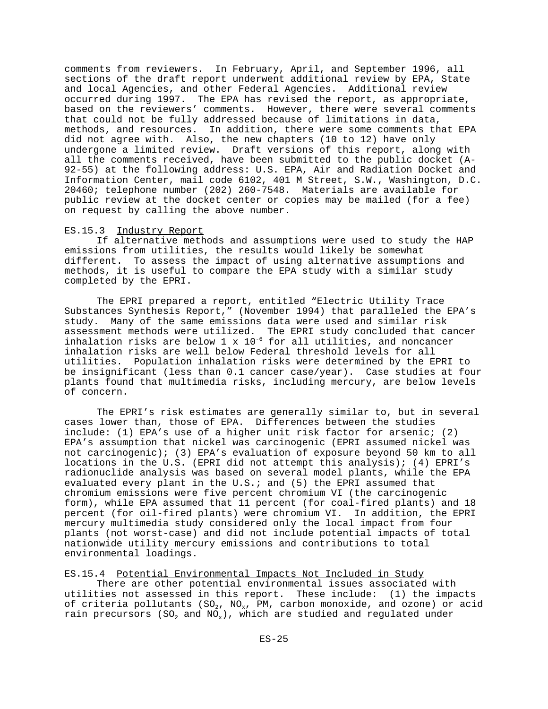comments from reviewers. In February, April, and September 1996, all sections of the draft report underwent additional review by EPA, State and local Agencies, and other Federal Agencies. Additional review occurred during 1997. The EPA has revised the report, as appropriate, based on the reviewers' comments. However, there were several comments that could not be fully addressed because of limitations in data, methods, and resources. In addition, there were some comments that EPA did not agree with. Also, the new chapters (10 to 12) have only undergone a limited review. Draft versions of this report, along with all the comments received, have been submitted to the public docket (A-92-55) at the following address: U.S. EPA, Air and Radiation Docket and Information Center, mail code 6102, 401 M Street, S.W., Washington, D.C. 20460; telephone number (202) 260-7548. Materials are available for public review at the docket center or copies may be mailed (for a fee) on request by calling the above number.

## ES.15.3 Industry Report

If alternative methods and assumptions were used to study the HAP emissions from utilities, the results would likely be somewhat different. To assess the impact of using alternative assumptions and methods, it is useful to compare the EPA study with a similar study completed by the EPRI.

The EPRI prepared a report, entitled "Electric Utility Trace Substances Synthesis Report," (November 1994) that paralleled the EPA's study. Many of the same emissions data were used and similar risk assessment methods were utilized. The EPRI study concluded that cancer inhalation risks are below 1 x  $10^{-6}$  for all utilities, and noncancer inhalation risks are well below Federal threshold levels for all utilities. Population inhalation risks were determined by the EPRI to be insignificant (less than 0.1 cancer case/year). Case studies at four plants found that multimedia risks, including mercury, are below levels of concern.

The EPRI's risk estimates are generally similar to, but in several cases lower than, those of EPA. Differences between the studies include: (1) EPA's use of a higher unit risk factor for arsenic; (2) EPA's assumption that nickel was carcinogenic (EPRI assumed nickel was not carcinogenic); (3) EPA's evaluation of exposure beyond 50 km to all locations in the U.S. (EPRI did not attempt this analysis); (4) EPRI's radionuclide analysis was based on several model plants, while the EPA evaluated every plant in the U.S.; and (5) the EPRI assumed that chromium emissions were five percent chromium VI (the carcinogenic form), while EPA assumed that 11 percent (for coal-fired plants) and 18 percent (for oil-fired plants) were chromium VI. In addition, the EPRI mercury multimedia study considered only the local impact from four plants (not worst-case) and did not include potential impacts of total nationwide utility mercury emissions and contributions to total environmental loadings.

ES.15.4 Potential Environmental Impacts Not Included in Study There are other potential environmental issues associated with utilities not assessed in this report. These include: (1) the impacts of criteria pollutants (SO<sub>2</sub>, NO<sub>x</sub>, PM, carbon monoxide, and ozone) or acid rain precursors (SO<sub>2</sub> and NO<sub>x</sub>), which are studied and regulated under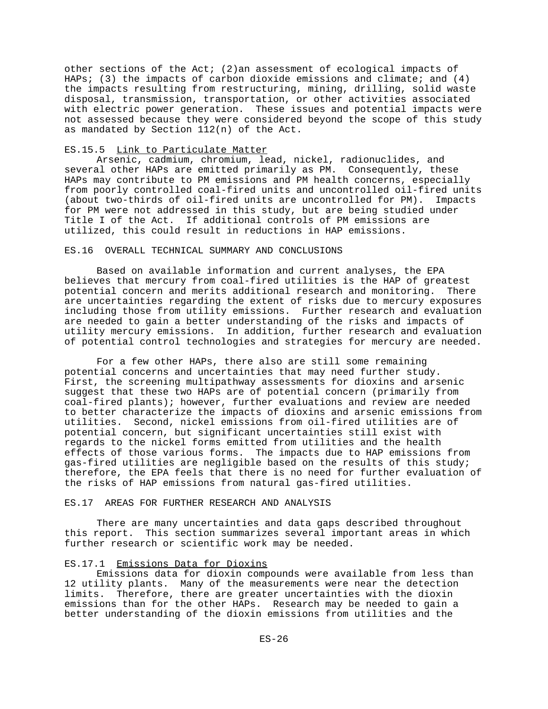other sections of the Act; (2)an assessment of ecological impacts of HAPs; (3) the impacts of carbon dioxide emissions and climate; and (4) the impacts resulting from restructuring, mining, drilling, solid waste disposal, transmission, transportation, or other activities associated with electric power generation. These issues and potential impacts were not assessed because they were considered beyond the scope of this study as mandated by Section 112(n) of the Act.

## ES.15.5 Link to Particulate Matter

Arsenic, cadmium, chromium, lead, nickel, radionuclides, and several other HAPs are emitted primarily as PM. Consequently, these HAPs may contribute to PM emissions and PM health concerns, especially from poorly controlled coal-fired units and uncontrolled oil-fired units (about two-thirds of oil-fired units are uncontrolled for PM). Impacts for PM were not addressed in this study, but are being studied under Title I of the Act. If additional controls of PM emissions are utilized, this could result in reductions in HAP emissions.

## ES.16 OVERALL TECHNICAL SUMMARY AND CONCLUSIONS

Based on available information and current analyses, the EPA believes that mercury from coal-fired utilities is the HAP of greatest potential concern and merits additional research and monitoring. There are uncertainties regarding the extent of risks due to mercury exposures including those from utility emissions. Further research and evaluation are needed to gain a better understanding of the risks and impacts of utility mercury emissions. In addition, further research and evaluation of potential control technologies and strategies for mercury are needed.

For a few other HAPs, there also are still some remaining potential concerns and uncertainties that may need further study. First, the screening multipathway assessments for dioxins and arsenic suggest that these two HAPs are of potential concern (primarily from coal-fired plants); however, further evaluations and review are needed to better characterize the impacts of dioxins and arsenic emissions from utilities. Second, nickel emissions from oil-fired utilities are of potential concern, but significant uncertainties still exist with regards to the nickel forms emitted from utilities and the health effects of those various forms. The impacts due to HAP emissions from gas-fired utilities are negligible based on the results of this study; therefore, the EPA feels that there is no need for further evaluation of the risks of HAP emissions from natural gas-fired utilities.

#### ES.17 AREAS FOR FURTHER RESEARCH AND ANALYSIS

There are many uncertainties and data gaps described throughout this report. This section summarizes several important areas in which further research or scientific work may be needed.

## ES.17.1 Emissions Data for Dioxins

Emissions data for dioxin compounds were available from less than 12 utility plants. Many of the measurements were near the detection limits. Therefore, there are greater uncertainties with the dioxin emissions than for the other HAPs. Research may be needed to gain a better understanding of the dioxin emissions from utilities and the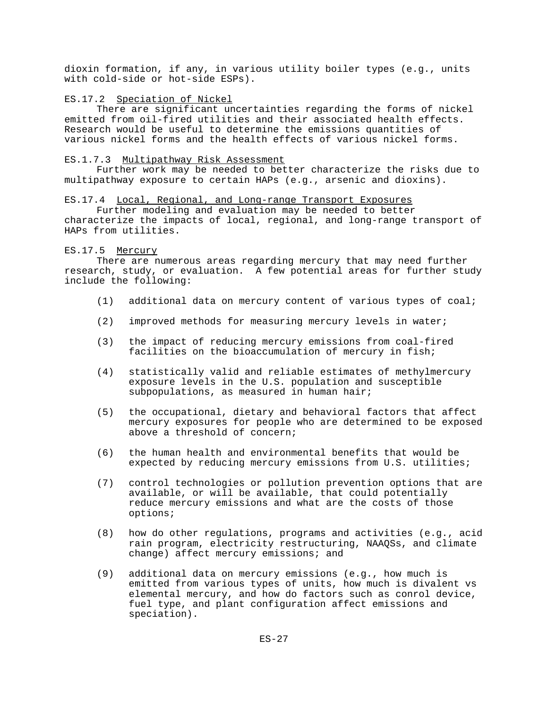dioxin formation, if any, in various utility boiler types (e.g., units with cold-side or hot-side ESPs).

## ES.17.2 Speciation of Nickel

There are significant uncertainties regarding the forms of nickel emitted from oil-fired utilities and their associated health effects. Research would be useful to determine the emissions quantities of various nickel forms and the health effects of various nickel forms.

#### ES.1.7.3 Multipathway Risk Assessment

Further work may be needed to better characterize the risks due to multipathway exposure to certain HAPs (e.g., arsenic and dioxins).

#### ES.17.4 Local, Regional, and Long-range Transport Exposures

Further modeling and evaluation may be needed to better characterize the impacts of local, regional, and long-range transport of HAPs from utilities.

## ES.17.5 Mercury

There are numerous areas regarding mercury that may need further research, study, or evaluation. A few potential areas for further study include the following:

- (1) additional data on mercury content of various types of coal;
- (2) improved methods for measuring mercury levels in water;
- (3) the impact of reducing mercury emissions from coal-fired facilities on the bioaccumulation of mercury in fish;
- (4) statistically valid and reliable estimates of methylmercury exposure levels in the U.S. population and susceptible subpopulations, as measured in human hair;
- (5) the occupational, dietary and behavioral factors that affect mercury exposures for people who are determined to be exposed above a threshold of concern;
- (6) the human health and environmental benefits that would be expected by reducing mercury emissions from U.S. utilities;
- (7) control technologies or pollution prevention options that are available, or will be available, that could potentially reduce mercury emissions and what are the costs of those options;
- (8) how do other regulations, programs and activities (e.g., acid rain program, electricity restructuring, NAAQSs, and climate change) affect mercury emissions; and
- (9) additional data on mercury emissions (e.g., how much is emitted from various types of units, how much is divalent vs elemental mercury, and how do factors such as conrol device, fuel type, and plant configuration affect emissions and speciation).